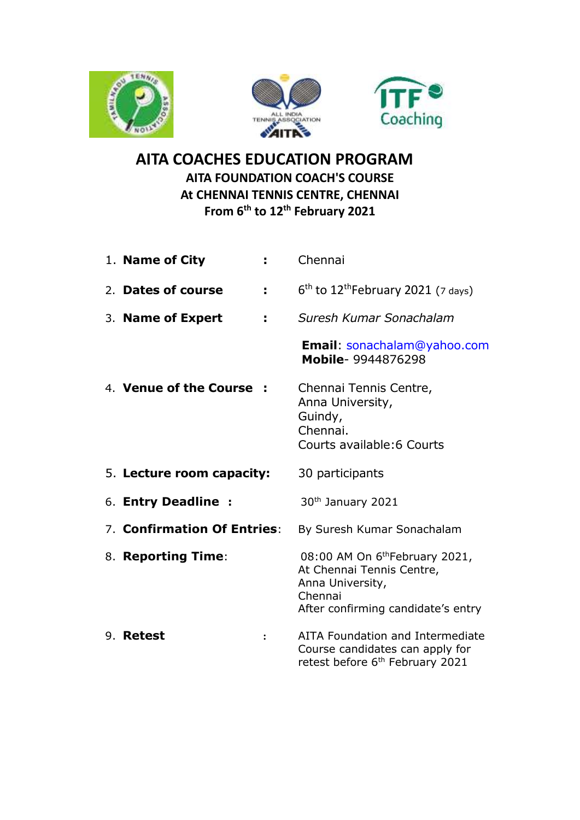





## **AITA COACHES EDUCATION PROGRAM AITA FOUNDATION COACH'S COURSE At CHENNAI TENNIS CENTRE, CHENNAI From 6 th to 12th February 2021**

| Chennai                                                                                                                                      |
|----------------------------------------------------------------------------------------------------------------------------------------------|
| $6th$ to 12 <sup>th</sup> February 2021 (7 days)                                                                                             |
| Suresh Kumar Sonachalam                                                                                                                      |
| Email: sonachalam@yahoo.com<br>Mobile- 9944876298                                                                                            |
| Chennai Tennis Centre,<br>Anna University,<br>Guindy,<br>Chennai.<br>Courts available: 6 Courts                                              |
| 30 participants                                                                                                                              |
|                                                                                                                                              |
| 30 <sup>th</sup> January 2021                                                                                                                |
| By Suresh Kumar Sonachalam                                                                                                                   |
| 08:00 AM On 6 <sup>th</sup> February 2021,<br>At Chennai Tennis Centre,<br>Anna University,<br>Chennai<br>After confirming candidate's entry |
|                                                                                                                                              |